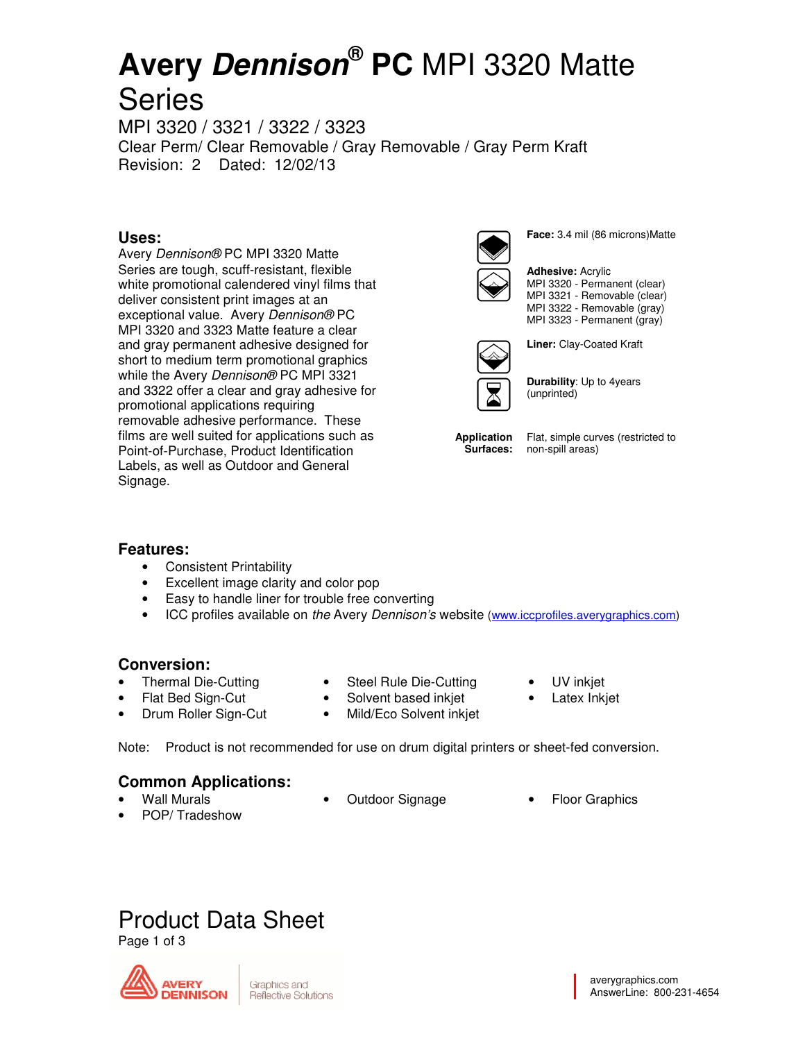# **Avery Dennison® PC** MPI 3320 Matte Series

MPI 3320 / 3321 / 3322 / 3323 Clear Perm/ Clear Removable / Gray Removable / Gray Perm Kraft Revision: 2 Dated: 12/02/13

## **Uses:**

Avery Dennison® PC MPI 3320 Matte Series are tough, scuff-resistant, flexible white promotional calendered vinyl films that deliver consistent print images at an exceptional value. Avery Dennison® PC MPI 3320 and 3323 Matte feature a clear and gray permanent adhesive designed for short to medium term promotional graphics while the Avery Dennison® PC MPI 3321 and 3322 offer a clear and gray adhesive for promotional applications requiring removable adhesive performance. These films are well suited for applications such as Point-of-Purchase, Product Identification Labels, as well as Outdoor and General Signage.



**Face:** 3.4 mil (86 microns)Matte



### **Adhesive:** Acrylic

MPI 3320 - Permanent (clear) MPI 3321 - Removable (clear) MPI 3322 - Removable (gray) MPI 3323 - Permanent (gray)



**Liner:** Clay-Coated Kraft

**Durability**: Up to 4years (unprinted)

**Application Surfaces:** 

Outdoor Signage • Floor Graphics

Flat, simple curves (restricted to non-spill areas)

### **Features:**

- Consistent Printability
- Excellent image clarity and color pop
- Easy to handle liner for trouble free converting
- ICC profiles available on the Avery Dennison's website (www.iccprofiles.averygraphics.com)

## **Conversion:**

- Thermal Die-Cutting
- Flat Bed Sign-Cut
- Drum Roller Sign-Cut
- Steel Rule Die-Cutting
- UV inkjet
- Latex Inkjet
- 

### **Common Applications:**

- Wall Murals
- POP/ Tradeshow
- Solvent based inkjet • Mild/Eco Solvent inkjet
- Note: Product is not recommended for use on drum digital printers or sheet-fed conversion.

Product Data Sheet Page 1 of 3



averygraphics.com AnswerLine: 800-231-4654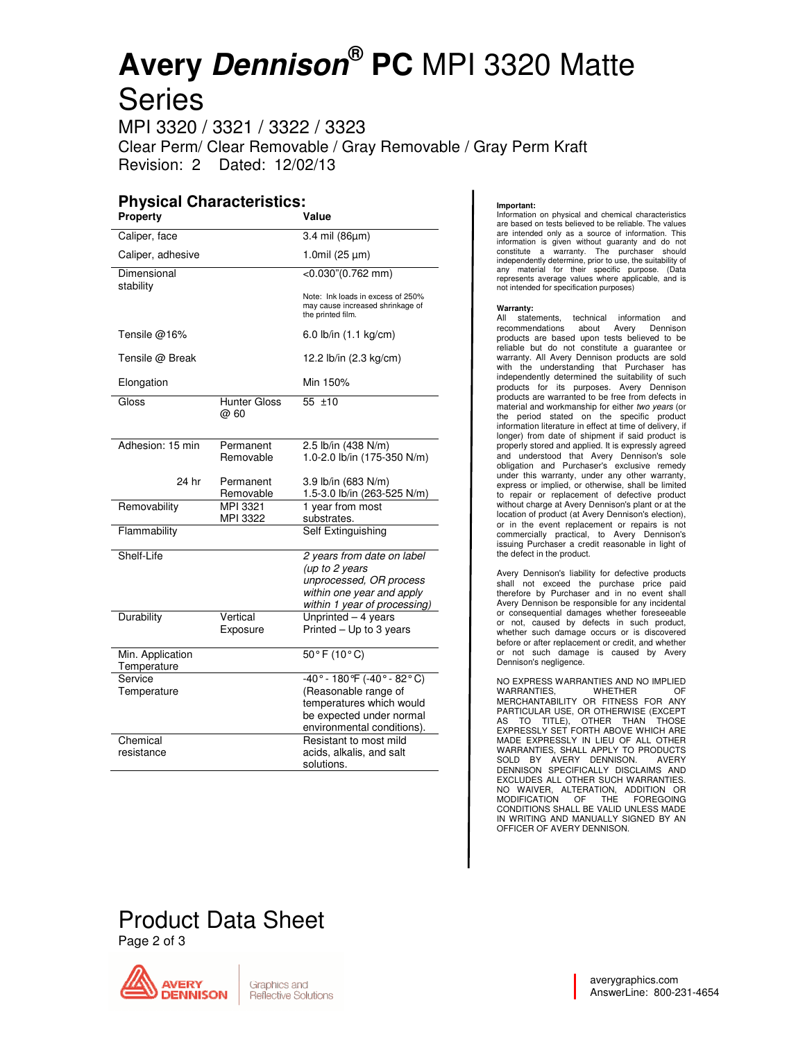# **Avery Dennison® PC** MPI 3320 Matte Series

MPI 3320 / 3321 / 3322 / 3323 Clear Perm/ Clear Removable / Gray Removable / Gray Perm Kraft Revision: 2 Dated: 12/02/13

#### **Physical Characteristics: Property**

| Caliper, face     |                      | 3.4 mil (86µm)                                                                             |
|-------------------|----------------------|--------------------------------------------------------------------------------------------|
| Caliper, adhesive |                      | 1.0mil $(25 \mu m)$                                                                        |
| Dimensional       |                      | $<$ 0.030"(0.762 mm)                                                                       |
| stability         |                      | Note: Ink loads in excess of 250%<br>may cause increased shrinkage of<br>the printed film. |
| Tensile @16%      |                      | 6.0 lb/in (1.1 kg/cm)                                                                      |
| Tensile @ Break   |                      | 12.2 lb/in (2.3 kg/cm)                                                                     |
| Elongation        |                      | Min 150%                                                                                   |
| Gloss             | Hunter Gloss<br>@ 60 | $55 + 10$                                                                                  |
| Adhesion: 15 min  | Permanent            | 2.5 lb/in (438 N/m)                                                                        |
|                   | Removable            | 1.0-2.0 lb/in (175-350 N/m)                                                                |
| 24 hr             | Permanent            | 3.9 lb/in (683 N/m)                                                                        |
|                   | Removable            | 1.5-3.0 lb/in (263-525 N/m)                                                                |
| Removability      | MPI 3321             | 1 year from most                                                                           |
|                   | MPI 3322             | substrates.                                                                                |
| Flammability      |                      | Self Extinguishing                                                                         |
| Shelf-Life        |                      | 2 years from date on label                                                                 |
|                   |                      | (up to 2 years                                                                             |
|                   |                      | unprocessed, OR process                                                                    |
|                   |                      | within one year and apply                                                                  |
|                   |                      | within 1 year of processing)                                                               |
| Durability        | Vertical             | Unprinted - 4 years                                                                        |
|                   | Exposure             | Printed - Up to 3 years                                                                    |
| Min. Application  |                      | $50°$ F (10°C)                                                                             |
| Temperature       |                      |                                                                                            |
| Service           |                      | $-40^{\circ} - 180^{\circ}$ F (-40° - 82°C)                                                |
| Temperature       |                      | (Reasonable range of                                                                       |
|                   |                      | temperatures which would                                                                   |
|                   |                      | be expected under normal                                                                   |
|                   |                      | environmental conditions).                                                                 |
| Chemical          |                      | Resistant to most mild                                                                     |
| resistance        |                      | acids, alkalis, and salt<br>solutions.                                                     |
|                   |                      |                                                                                            |

#### **Important:**

Information on physical and chemical characteristics are based on tests believed to be reliable. The values are intended only as a source of information. This information is given without guaranty and do not constitute a warranty. The purchaser should independently determine, prior to use, the suitability of any material for their specific purpose. (Data represents average values where applicable, and is not intended for specification purposes)

#### **Warranty:**

All statements, technical information and recommendations about Avery Dennison products are based upon tests believed to be reliable but do not constitute a guarantee or warranty. All Avery Dennison products are sold with the understanding that Purchaser has independently determined the suitability of such products for its purposes. Avery Dennison products are warranted to be free from defects in material and workmanship for either two years (or the period stated on the specific product information literature in effect at time of delivery, if longer) from date of shipment if said product is properly stored and applied. It is expressly agreed and understood that Avery Dennison's sole obligation and Purchaser's exclusive remedy under this warranty, under any other warranty, express or implied, or otherwise, shall be limited to repair or replacement of defective product without charge at Avery Dennison's plant or at the location of product (at Avery Dennison's election), or in the event replacement or repairs is not commercially practical, to Avery Dennison's issuing Purchaser a credit reasonable in light of the defect in the product.

Avery Dennison's liability for defective products shall not exceed the purchase price paid therefore by Purchaser and in no event shall Avery Dennison be responsible for any incidental or consequential damages whether foreseeable or not, caused by defects in such product, whether such damage occurs or is discovered before or after replacement or credit, and whether or not such damage is caused by Avery Dennison's negligence.

NO EXPRESS WARRANTIES AND NO IMPLIED WARRANTIES, WHETHER OF MERCHANTABILITY OR FITNESS FOR ANY PARTICULAR USE, OR OTHERWISE (EXCEPT AS TO TITLE), OTHER THAN THOSE EXPRESSLY SET FORTH ABOVE WHICH ARE MADE EXPRESSLY IN LIEU OF ALL OTHER WARRANTIES, SHALL APPLY TO PRODUCTS<br>SOLD BY AVERY DENNISON. AVERY SOLD BY AVERY DENNISON. DENNISON SPECIFICALLY DISCLAIMS AND EXCLUDES ALL OTHER SUCH WARRANTIES. NO WAIVER, ALTERATION, ADDITION OR MODIFICATION OF THE FOREGOING CONDITIONS SHALL BE VALID UNLESS MADE IN WRITING AND MANUALLY SIGNED BY AN OFFICER OF AVERY DENNISON.

## Product Data Sheet

Page 2 of 3



averygraphics.com AnswerLine: 800-231-4654